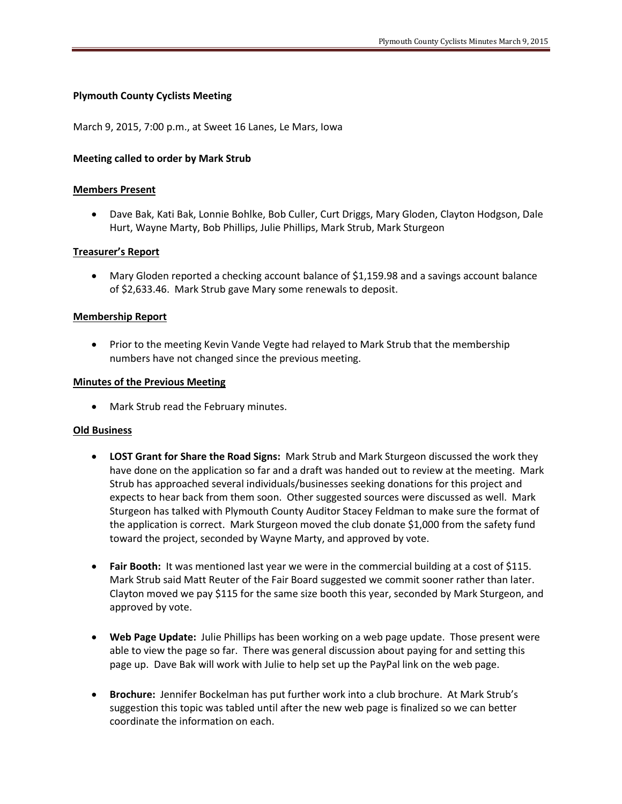## **Plymouth County Cyclists Meeting**

March 9, 2015, 7:00 p.m., at Sweet 16 Lanes, Le Mars, Iowa

### **Meeting called to order by Mark Strub**

#### **Members Present**

 Dave Bak, Kati Bak, Lonnie Bohlke, Bob Culler, Curt Driggs, Mary Gloden, Clayton Hodgson, Dale Hurt, Wayne Marty, Bob Phillips, Julie Phillips, Mark Strub, Mark Sturgeon

#### **Treasurer's Report**

 Mary Gloden reported a checking account balance of \$1,159.98 and a savings account balance of \$2,633.46. Mark Strub gave Mary some renewals to deposit.

#### **Membership Report**

• Prior to the meeting Kevin Vande Vegte had relayed to Mark Strub that the membership numbers have not changed since the previous meeting.

#### **Minutes of the Previous Meeting**

Mark Strub read the February minutes.

#### **Old Business**

- **LOST Grant for Share the Road Signs:** Mark Strub and Mark Sturgeon discussed the work they have done on the application so far and a draft was handed out to review at the meeting. Mark Strub has approached several individuals/businesses seeking donations for this project and expects to hear back from them soon. Other suggested sources were discussed as well. Mark Sturgeon has talked with Plymouth County Auditor Stacey Feldman to make sure the format of the application is correct. Mark Sturgeon moved the club donate \$1,000 from the safety fund toward the project, seconded by Wayne Marty, and approved by vote.
- **Fair Booth:** It was mentioned last year we were in the commercial building at a cost of \$115. Mark Strub said Matt Reuter of the Fair Board suggested we commit sooner rather than later. Clayton moved we pay \$115 for the same size booth this year, seconded by Mark Sturgeon, and approved by vote.
- **Web Page Update:** Julie Phillips has been working on a web page update. Those present were able to view the page so far. There was general discussion about paying for and setting this page up. Dave Bak will work with Julie to help set up the PayPal link on the web page.
- **Brochure:** Jennifer Bockelman has put further work into a club brochure. At Mark Strub's suggestion this topic was tabled until after the new web page is finalized so we can better coordinate the information on each.